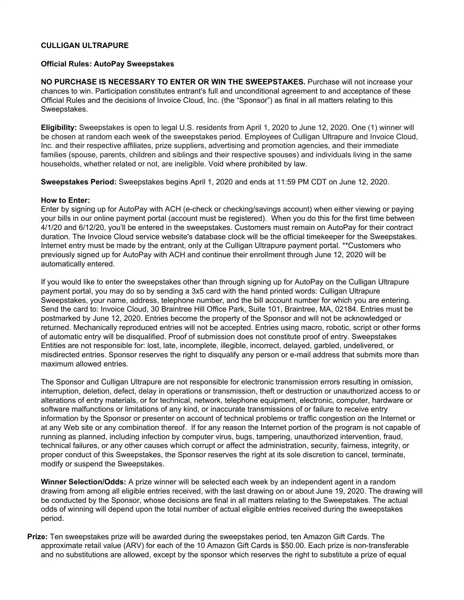## **CULLIGAN ULTRAPURE**

## **Official Rules: AutoPay Sweepstakes**

**NO PURCHASE IS NECESSARY TO ENTER OR WIN THE SWEEPSTAKES.** Purchase will not increase your chances to win. Participation constitutes entrant's full and unconditional agreement to and acceptance of these Official Rules and the decisions of Invoice Cloud, Inc. (the "Sponsor") as final in all matters relating to this Sweepstakes.

**Eligibility:** Sweepstakes is open to legal U.S. residents from April 1, 2020 to June 12, 2020. One (1) winner will be chosen at random each week of the sweepstakes period. Employees of Culligan Ultrapure and Invoice Cloud, Inc. and their respective affiliates, prize suppliers, advertising and promotion agencies, and their immediate families (spouse, parents, children and siblings and their respective spouses) and individuals living in the same households, whether related or not, are ineligible. Void where prohibited by law.

**Sweepstakes Period:** Sweepstakes begins April 1, 2020 and ends at 11:59 PM CDT on June 12, 2020.

## **How to Enter:**

Enter by signing up for AutoPay with ACH (e-check or checking/savings account) when either viewing or paying your bills in our online payment portal (account must be registered). When you do this for the first time between 4/1/20 and 6/12/20, you'll be entered in the sweepstakes. Customers must remain on AutoPay for their contract duration. The Invoice Cloud service website's database clock will be the official timekeeper for the Sweepstakes. Internet entry must be made by the entrant, only at the Culligan Ultrapure payment portal. \*\*Customers who previously signed up for AutoPay with ACH and continue their enrollment through June 12, 2020 will be automatically entered.

If you would like to enter the sweepstakes other than through signing up for AutoPay on the Culligan Ultrapure payment portal, you may do so by sending a 3x5 card with the hand printed words: Culligan Ultrapure Sweepstakes, your name, address, telephone number, and the bill account number for which you are entering. Send the card to: Invoice Cloud, 30 Braintree Hill Office Park, Suite 101, Braintree, MA, 02184. Entries must be postmarked by June 12, 2020. Entries become the property of the Sponsor and will not be acknowledged or returned. Mechanically reproduced entries will not be accepted. Entries using macro, robotic, script or other forms of automatic entry will be disqualified. Proof of submission does not constitute proof of entry. Sweepstakes Entities are not responsible for: lost, late, incomplete, illegible, incorrect, delayed, garbled, undelivered, or misdirected entries. Sponsor reserves the right to disqualify any person or e-mail address that submits more than maximum allowed entries.

The Sponsor and Culligan Ultrapure are not responsible for electronic transmission errors resulting in omission, interruption, deletion, defect, delay in operations or transmission, theft or destruction or unauthorized access to or alterations of entry materials, or for technical, network, telephone equipment, electronic, computer, hardware or software malfunctions or limitations of any kind, or inaccurate transmissions of or failure to receive entry information by the Sponsor or presenter on account of technical problems or traffic congestion on the Internet or at any Web site or any combination thereof. If for any reason the Internet portion of the program is not capable of running as planned, including infection by computer virus, bugs, tampering, unauthorized intervention, fraud, technical failures, or any other causes which corrupt or affect the administration, security, fairness, integrity, or proper conduct of this Sweepstakes, the Sponsor reserves the right at its sole discretion to cancel, terminate, modify or suspend the Sweepstakes.

**Winner Selection/Odds:** A prize winner will be selected each week by an independent agent in a random drawing from among all eligible entries received, with the last drawing on or about June 19, 2020. The drawing will be conducted by the Sponsor, whose decisions are final in all matters relating to the Sweepstakes. The actual odds of winning will depend upon the total number of actual eligible entries received during the sweepstakes period.

**Prize:** Ten sweepstakes prize will be awarded during the sweepstakes period, ten Amazon Gift Cards. The approximate retail value (ARV) for each of the 10 Amazon Gift Cards is \$50.00. Each prize is non-transferable and no substitutions are allowed, except by the sponsor which reserves the right to substitute a prize of equal